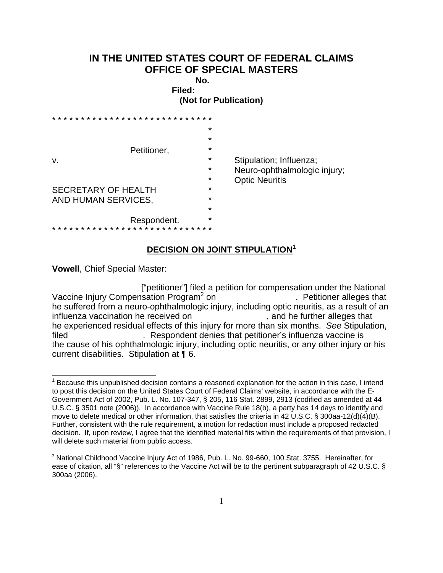## **IN THE UNITED STATES COURT OF FEDERAL CLAIMS OFFICE OF SPECIAL MASTERS**

**No. Filed:** 

**(Not for Publication)** 

| v.                                                | Petitioner, | $\star$<br>$\star$<br>$\star$<br>$\star$<br>$\star$<br>$\star$ | Stipulation; Influenza;<br>Neuro-ophthalmologic injury;<br><b>Optic Neuritis</b> |
|---------------------------------------------------|-------------|----------------------------------------------------------------|----------------------------------------------------------------------------------|
| <b>SECRETARY OF HEALTH</b><br>AND HUMAN SERVICES, |             | $\star$<br>$\star$<br>$\star$                                  |                                                                                  |
|                                                   | Respondent. | $\star$                                                        |                                                                                  |

## **DECISION ON JOINT STIPULATION1**

**Vowell**, Chief Special Master:

 ["petitioner"] filed a petition for compensation under the National Vaccine Injury Compensation Program<sup>2</sup> on . Petitioner alleges that he suffered from a neuro-ophthalmologic injury, including optic neuritis, as a result of an influenza vaccination he received on  $\qquad \qquad$ , and he further alleges that he experienced residual effects of this injury for more than six months. *See* Stipulation, filed . Respondent denies that petitioner's influenza vaccine is the cause of his ophthalmologic injury, including optic neuritis, or any other injury or his current disabilities. Stipulation at ¶ 6.

**TECTLE 1**<br><sup>1</sup> Because this unpublished decision contains a reasoned explanation for the action in this case, I intend to post this decision on the United States Court of Federal Claims' website, in accordance with the E-Government Act of 2002, Pub. L. No. 107-347, § 205, 116 Stat. 2899, 2913 (codified as amended at 44 U.S.C. § 3501 note (2006)). In accordance with Vaccine Rule 18(b), a party has 14 days to identify and move to delete medical or other information, that satisfies the criteria in 42 U.S.C. § 300aa-12(d)(4)(B). Further, consistent with the rule requirement, a motion for redaction must include a proposed redacted decision.If, upon review, I agree that the identified material fits within the requirements of that provision, I will delete such material from public access.

 $2$  National Childhood Vaccine Injury Act of 1986, Pub. L. No. 99-660, 100 Stat. 3755. Hereinafter, for ease of citation, all "§" references to the Vaccine Act will be to the pertinent subparagraph of 42 U.S.C. § 300aa (2006).